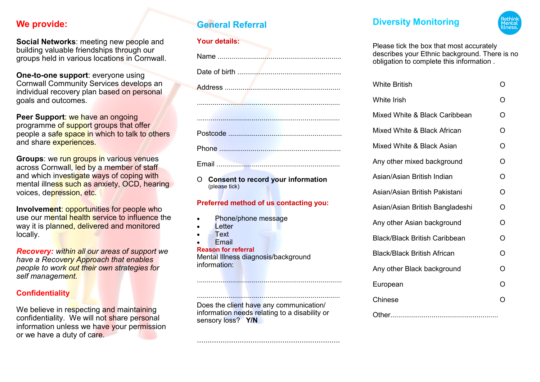# **We provide:**

**Social Networks**: meeting new people and building valuable friendships through our groups held in various locations in Cornwall.

**One-to-one support**: everyone using Cornwall Community Services develops an individual recovery plan based on personal goals and outcomes.

**Peer Support**: we have an ongoing programme of support groups that offer people a safe space in which to talk to others and share experiences.

**Groups**: we run groups in various venues across Cornwall, led by a member of staff and which investigate ways of coping with mental illness such as anxiety, OCD, hearing voices, depression, etc.

**Involvement: opportunities for people who** use our mental health service to influence the way it is planned, delivered and monitored locally.

*Recovery: within all our areas of support we have a Recovery Approach that enables people to work out their own strategies for self management.*

## **Confidentiality**

We believe in respecting and maintaining confidentiality. We will not share personal information unless we have your permission or we have a duty of care.

# **General Referral**

## **Your details:**

O **Consent to record your information**  (please tick)

## **Preferred method of us contacting you:**

- Phone/phone message
- **Letter**
- Text
- **Fmail**

**Reason for referral** Mental Illness diagnosis/background information:

Does the client have any communication/ information needs relating to a disability or sensory loss? **Y/N**

...................................................................

..........................................................................

.........................................................................

# **Diversity Monitoring**



Please tick the box that most accurately describes your Ethnic background. There is no obligation to complete this information .

| <b>White British</b>                 | O              |
|--------------------------------------|----------------|
| <b>White Irish</b>                   | ∩              |
| Mixed White & Black Caribbean        | O              |
| Mixed White & Black African          | $\overline{O}$ |
| Mixed White & Black Asian            | O              |
| Any other mixed background           | O              |
| Asian/Asian British Indian           | O              |
| Asian/Asian British Pakistani        | O              |
| Asian/Asian British Bangladeshi      | O              |
| Any other Asian background           | O              |
| <b>Black/Black British Caribbean</b> | O              |
| <b>Black/Black British African</b>   | O              |
| Any other Black background           | O              |
| European                             | O              |
| Chinese                              |                |
|                                      |                |